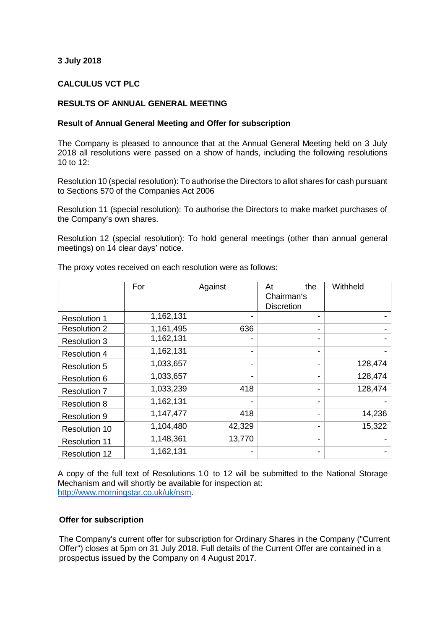# **3 July 2018**

## **CALCULUS VCT PLC**

### **RESULTS OF ANNUAL GENERAL MEETING**

#### **Result of Annual General Meeting and Offer for subscription**

The Company is pleased to announce that at the Annual General Meeting held on 3 July 2018 all resolutions were passed on a show of hands, including the following resolutions 10 to 12:

Resolution 10 (special resolution): To authorise the Directors to allot shares for cash pursuant to Sections 570 of the Companies Act 2006

Resolution 11 (special resolution): To authorise the Directors to make market purchases of the Company's own shares.

Resolution 12 (special resolution): To hold general meetings (other than annual general meetings) on 14 clear days' notice.

|                      | For       | Against | the<br>At<br>Chairman's<br><b>Discretion</b> | Withheld |
|----------------------|-----------|---------|----------------------------------------------|----------|
| <b>Resolution 1</b>  | 1,162,131 |         |                                              |          |
| <b>Resolution 2</b>  | 1,161,495 | 636     | -                                            |          |
| <b>Resolution 3</b>  | 1,162,131 |         |                                              |          |
| <b>Resolution 4</b>  | 1,162,131 |         |                                              |          |
| <b>Resolution 5</b>  | 1,033,657 |         |                                              | 128,474  |
| <b>Resolution 6</b>  | 1,033,657 |         |                                              | 128,474  |
| <b>Resolution 7</b>  | 1,033,239 | 418     |                                              | 128,474  |
| <b>Resolution 8</b>  | 1,162,131 |         |                                              |          |
| <b>Resolution 9</b>  | 1,147,477 | 418     |                                              | 14,236   |
| <b>Resolution 10</b> | 1,104,480 | 42,329  |                                              | 15,322   |
| <b>Resolution 11</b> | 1,148,361 | 13,770  |                                              |          |
| <b>Resolution 12</b> | 1,162,131 |         |                                              |          |

The proxy votes received on each resolution were as follows:

A copy of the full text of Resolutions 10 to 12 will be submitted to the National Storage Mechanism and will shortly be available for inspection at: [http://www.morningstar.co.uk/uk/nsm.](http://www.morningstar.co.uk/uk/nsm)

#### **Offer for subscription**

The Company's current offer for subscription for Ordinary Shares in the Company ("Current Offer") closes at 5pm on 31 July 2018. Full details of the Current Offer are contained in a prospectus issued by the Company on 4 August 2017.